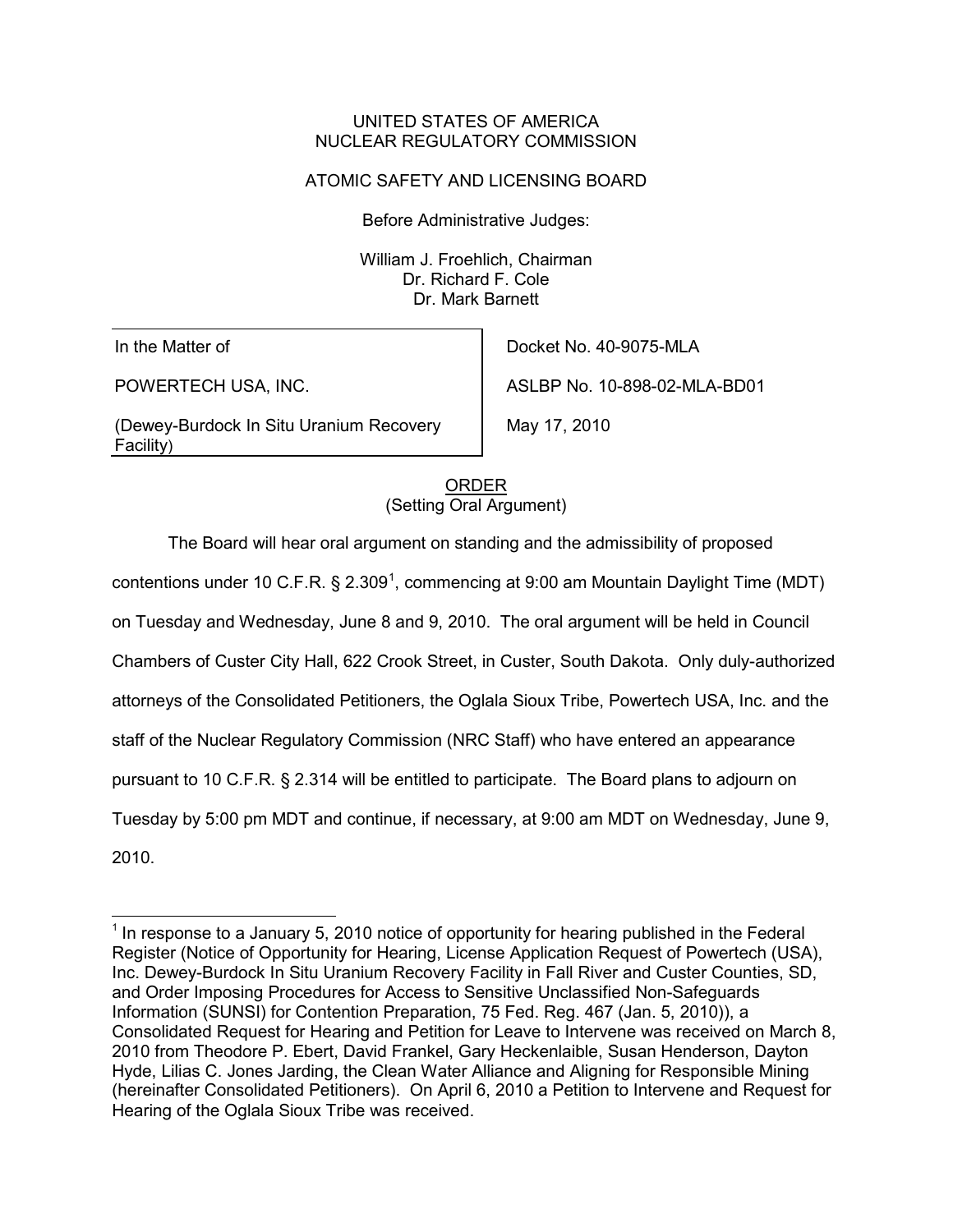#### UNITED STATES OF AMERICA NUCLEAR REGULATORY COMMISSION

## ATOMIC SAFETY AND LICENSING BOARD

Before Administrative Judges:

William J. Froehlich, Chairman Dr. Richard F. Cole Dr. Mark Barnett

In the Matter of

POWERTECH USA, INC.

(Dewey-Burdock In Situ Uranium Recovery Facility)

Docket No. 40-9075-MLA ASLBP No. 10-898-02-MLA-BD01

May 17, 2010

(Setting Oral Argument) ORDER

The Board will hear oral argument on standing and the admissibility of proposed contentions under [1](#page-0-0)0 C.F.R. § 2.309<sup>1</sup>, commencing at 9:00 am Mountain Daylight Time (MDT) on Tuesday and Wednesday, June 8 and 9, 2010. The oral argument will be held in Council Chambers of Custer City Hall, 622 Crook Street, in Custer, South Dakota. Only duly-authorized attorneys of the Consolidated Petitioners, the Oglala Sioux Tribe, Powertech USA, Inc. and the staff of the Nuclear Regulatory Commission (NRC Staff) who have entered an appearance pursuant to 10 C.F.R. § 2.314 will be entitled to participate. The Board plans to adjourn on Tuesday by 5:00 pm MDT and continue, if necessary, at 9:00 am MDT on Wednesday, June 9, 2010.

<span id="page-0-0"></span> $1$  In response to a January 5, 2010 notice of opportunity for hearing published in the Federal Register (Notice of Opportunity for Hearing, License Application Request of Powertech (USA), Inc. Dewey-Burdock In Situ Uranium Recovery Facility in Fall River and Custer Counties, SD, and Order Imposing Procedures for Access to Sensitive Unclassified Non-Safeguards Information (SUNSI) for Contention Preparation, 75 Fed. Reg. 467 (Jan. 5, 2010)), a Consolidated Request for Hearing and Petition for Leave to Intervene was received on March 8, 2010 from Theodore P. Ebert, David Frankel, Gary Heckenlaible, Susan Henderson, Dayton Hyde, Lilias C. Jones Jarding, the Clean Water Alliance and Aligning for Responsible Mining (hereinafter Consolidated Petitioners). On April 6, 2010 a Petition to Intervene and Request for Hearing of the Oglala Sioux Tribe was received.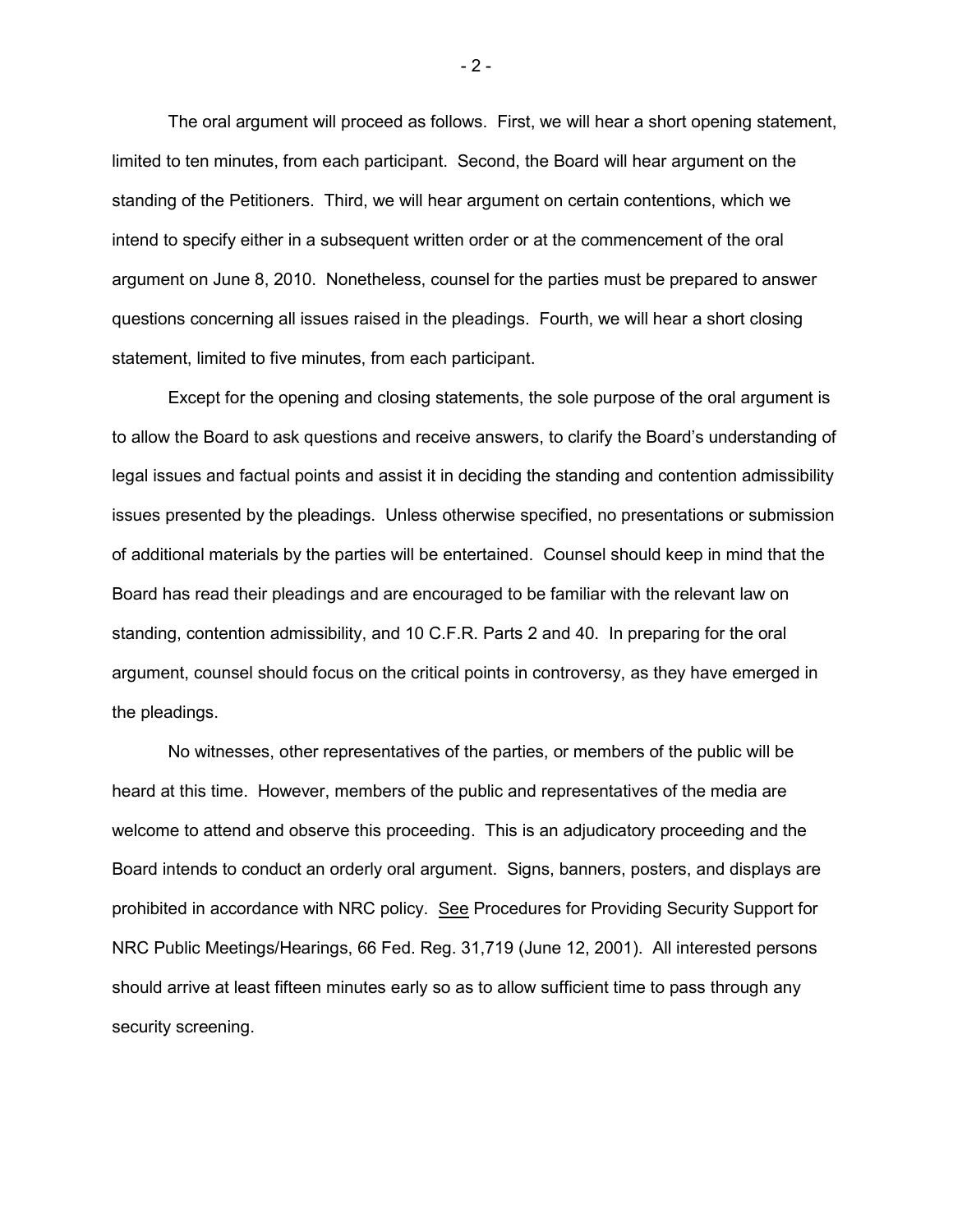The oral argument will proceed as follows. First, we will hear a short opening statement, limited to ten minutes, from each participant. Second, the Board will hear argument on the standing of the Petitioners. Third, we will hear argument on certain contentions, which we intend to specify either in a subsequent written order or at the commencement of the oral argument on June 8, 2010. Nonetheless, counsel for the parties must be prepared to answer questions concerning all issues raised in the pleadings. Fourth, we will hear a short closing statement, limited to five minutes, from each participant.

Except for the opening and closing statements, the sole purpose of the oral argument is to allow the Board to ask questions and receive answers, to clarify the Board's understanding of legal issues and factual points and assist it in deciding the standing and contention admissibility issues presented by the pleadings. Unless otherwise specified, no presentations or submission of additional materials by the parties will be entertained. Counsel should keep in mind that the Board has read their pleadings and are encouraged to be familiar with the relevant law on standing, contention admissibility, and 10 C.F.R. Parts 2 and 40. In preparing for the oral argument, counsel should focus on the critical points in controversy, as they have emerged in the pleadings.

No witnesses, other representatives of the parties, or members of the public will be heard at this time. However, members of the public and representatives of the media are welcome to attend and observe this proceeding. This is an adjudicatory proceeding and the Board intends to conduct an orderly oral argument. Signs, banners, posters, and displays are prohibited in accordance with NRC policy. See Procedures for Providing Security Support for NRC Public Meetings/Hearings, 66 Fed. Reg. 31,719 (June 12, 2001). All interested persons should arrive at least fifteen minutes early so as to allow sufficient time to pass through any security screening.

- 2 -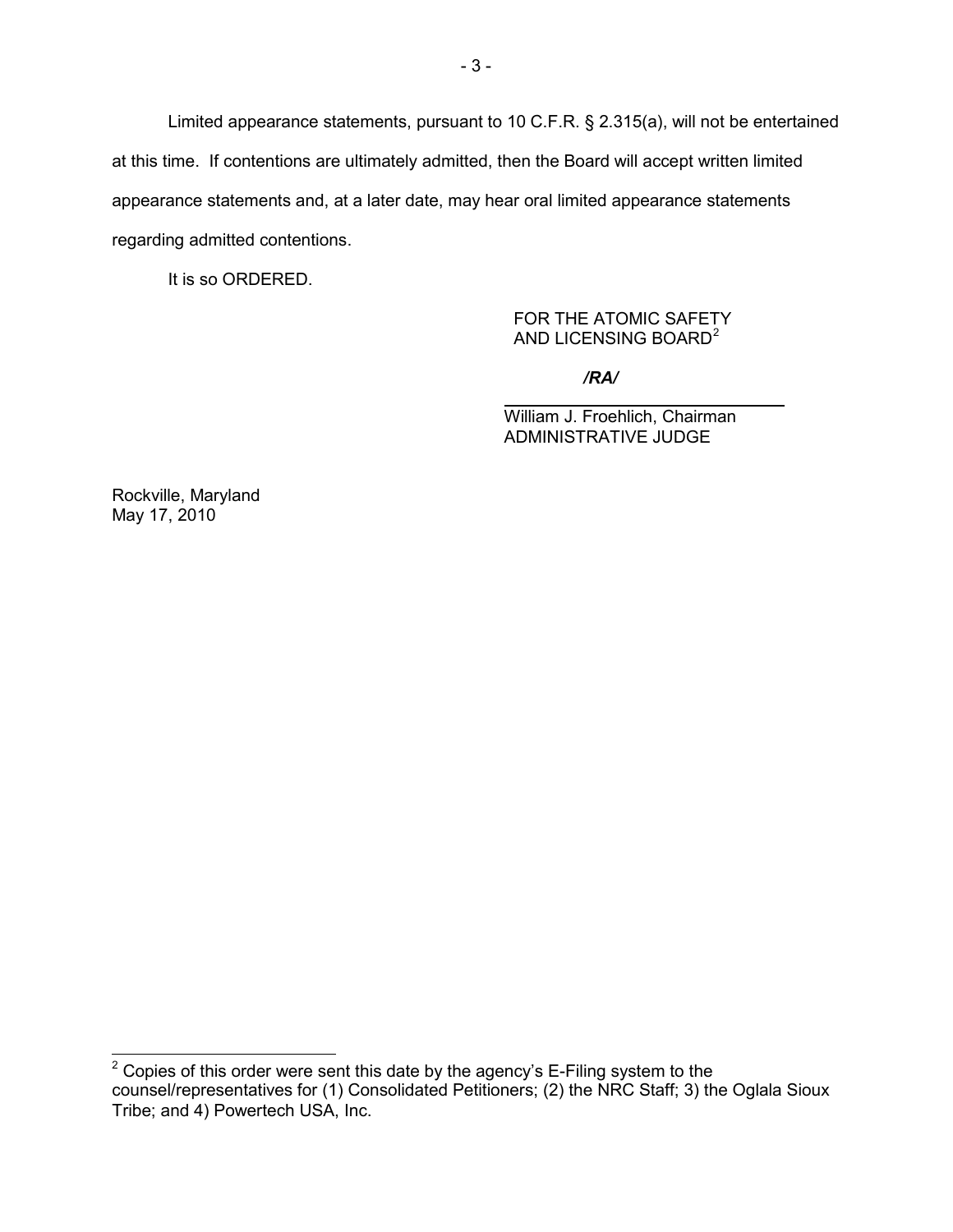Limited appearance statements, pursuant to 10 C.F.R. § 2.315(a), will not be entertained at this time. If contentions are ultimately admitted, then the Board will accept written limited appearance statements and, at a later date, may hear oral limited appearance statements regarding admitted contentions.

It is so ORDERED.

### FOR THE ATOMIC SAFETY AND LICENSING BOARD<sup>[2](#page-2-0)</sup>

*/RA/*

William J. Froehlich, Chairman ADMINISTRATIVE JUDGE

Rockville, Maryland May 17, 2010

<span id="page-2-0"></span> $2$  Copies of this order were sent this date by the agency's E-Filing system to the counsel/representatives for (1) Consolidated Petitioners; (2) the NRC Staff; 3) the Oglala Sioux Tribe; and 4) Powertech USA, Inc.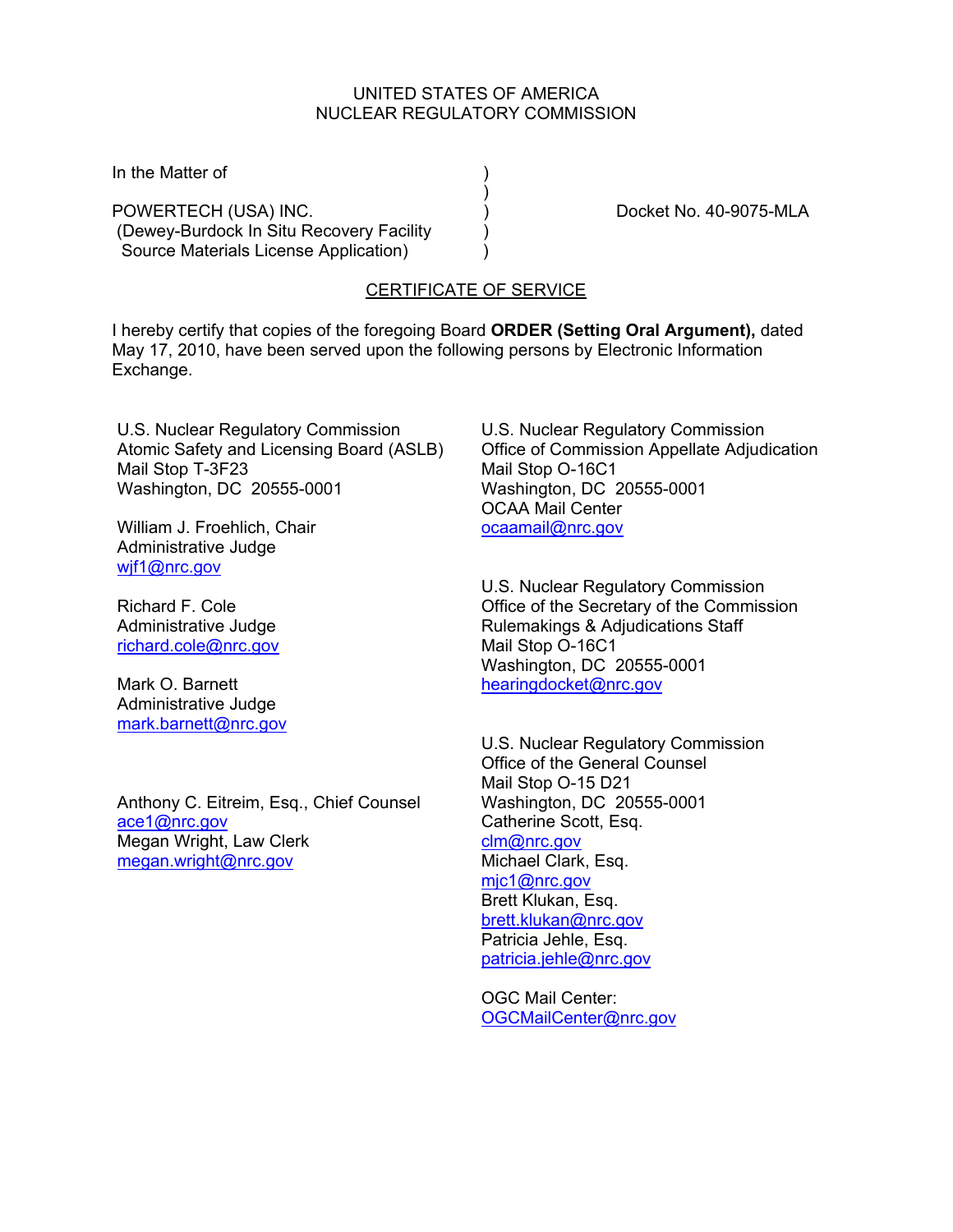#### UNITED STATES OF AMERICA NUCLEAR REGULATORY COMMISSION

In the Matter of  $\qquad \qquad$ )

) and the contract of  $\mathcal{L}$ POWERTECH (USA) INC. (2002) [20] Docket No. 40-9075-MLA (Dewey-Burdock In Situ Recovery Facility ) Source Materials License Application) (3)

## CERTIFICATE OF SERVICE

I hereby certify that copies of the foregoing Board **ORDER (Setting Oral Argument),** dated May 17, 2010, have been served upon the following persons by Electronic Information Exchange.

U.S. Nuclear Regulatory Commission Atomic Safety and Licensing Board (ASLB) Mail Stop T-3F23 Washington, DC 20555-0001

William J. Froehlich, Chair Administrative Judge wif1@nrc.gov

Richard F. Cole Administrative Judge richard.cole@nrc.gov

Mark O. Barnett Administrative Judge mark.barnett@nrc.gov

Anthony C. Eitreim, Esq., Chief Counsel ace1@nrc.gov Megan Wright, Law Clerk megan.wright@nrc.gov

U.S. Nuclear Regulatory Commission Office of Commission Appellate Adjudication Mail Stop O-16C1 Washington, DC 20555-0001 OCAA Mail Center ocaamail@nrc.gov

U.S. Nuclear Regulatory Commission Office of the Secretary of the Commission Rulemakings & Adjudications Staff Mail Stop O-16C1 Washington, DC 20555-0001 hearingdocket@nrc.gov

U.S. Nuclear Regulatory Commission Office of the General Counsel Mail Stop O-15 D21 Washington, DC 20555-0001 Catherine Scott, Esq. clm@nrc.gov Michael Clark, Esq. mjc1@nrc.gov Brett Klukan, Esq. brett.klukan@nrc.gov Patricia Jehle, Esq. patricia.jehle@nrc.gov

OGC Mail Center: OGCMailCenter@nrc.gov